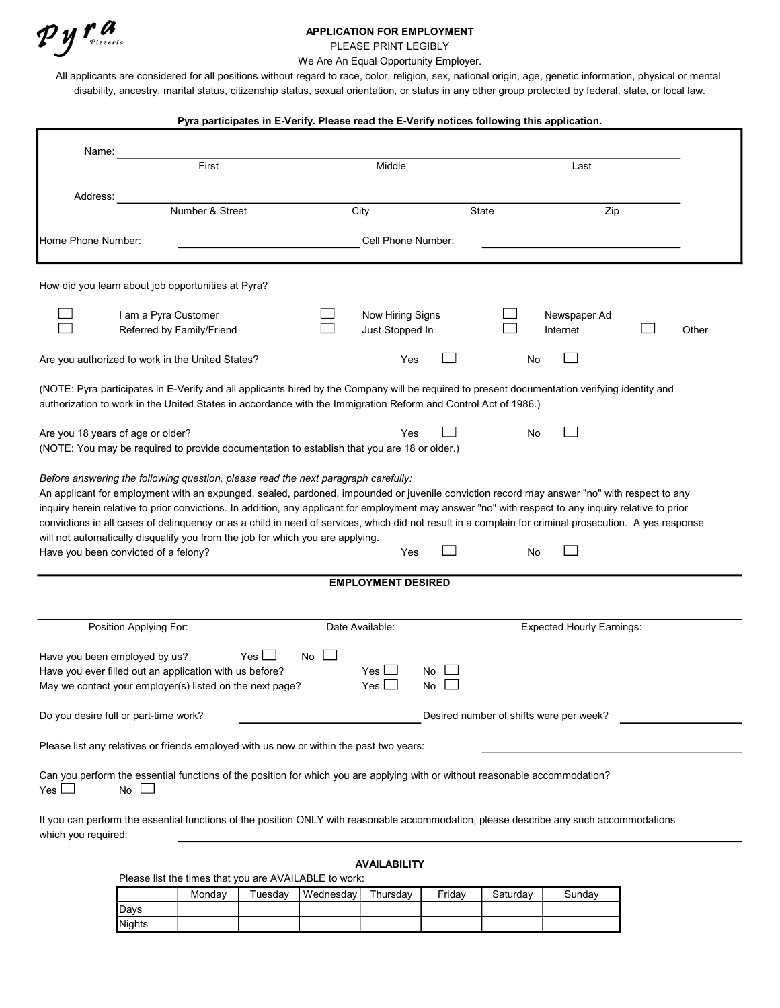## APPLICATION FOR EMPLOYMENT

PLEASE PRINT LEGIBLY

We Are An Equal Opportunity Employer.

All applicants are considered for all positions without regard to race, color, religion, sex, national origin, age, genetic information, physical or mental disability, ancestry, marital status, citizenship status, sexual orientation, or status in any other group protected by federal, state, or local law.

# Pyra participates in E-Verify. Please read the E-Verify notices following this application. Name: First Last Address: Number & Street City City State Zip Home Phone Number: The Collection of the Cell Phone Number: Cell Phone Number: How did you learn about job opportunities at Pyra?  $\Box$ I am a Pyra Customer II Now Hiring Signs II Newspaper Ad<br>Peferred by Eamily/Friend II Now Hiring Signs II Internet  $\Box$ Referred by Family/Friend **Communist Communist Communist Communist Communist Communist Communist Communist Communist Communist Communist Communist Communist Communist Communist Communist Communist Communist Communist Commu**  $\mathcal{L}$ Are you authorized to work in the United States? No want of the North Yes North Motor North North States North No (NOTE: Pyra participates in E-Verify and all applicants hired by the Company will be required to present documentation verifying identity and authorization to work in the United States in accordance with the Immigration Reform and Control Act of 1986.) Are you 18 years of age or older? Yes No  $\Box$ (NOTE: You may be required to provide documentation to establish that you are 18 or older.) Before answering the following question, please read the next paragraph carefully: An applicant for employment with an expunged, sealed, pardoned, impounded or juvenile conviction record may answer "no" with respect to any inquiry herein relative to prior convictions. In addition, any applicant for employment may answer "no" with respect to any inquiry relative to prior convictions in all cases of delinquency or as a child in need of services, which did not result in a complain for criminal prosecution. A yes response will not automatically disqualify you from the job for which you are applying. Have you been convicted of a felony? The Monometer of the Monometer of the Vescours of No. No. No. No. No. No. No  $\Box$ EMPLOYMENT DESIRED Position Applying For: The Contract Contract Available: Expected Hourly Earnings: Expected Hourly Earnings: Have you been employed by us?  $Yes \Box$  No  $\Box$ Have you ever filled out an application with us before?  $Yes \Box$  No<br>May we contact your emplover(s) listed on the next page? Yes  $\Box$  No May we contact your employer(s) listed on the next page?  $Yes \Box$  No Do you desire full or part-time work? Desired number of shifts were per week? Please list any relatives or friends employed with us now or within the past two years: Can you perform the essential functions of the position for which you are applying with or without reasonable accommodation?  $Yes \Box$  No  $\Box$ If you can perform the essential functions of the position ONLY with reasonable accommodation, please describe any such accommodations which you required:

#### AVAILABILITY

Please list the times that you are AVAILABLE to work:

|               | Mondav | ™uesdav | Wednesdavl | Thursdav | Fridav | Saturdav | Sundav |
|---------------|--------|---------|------------|----------|--------|----------|--------|
| Davs          |        |         |            |          |        |          |        |
| <b>Nights</b> |        |         |            |          |        |          |        |